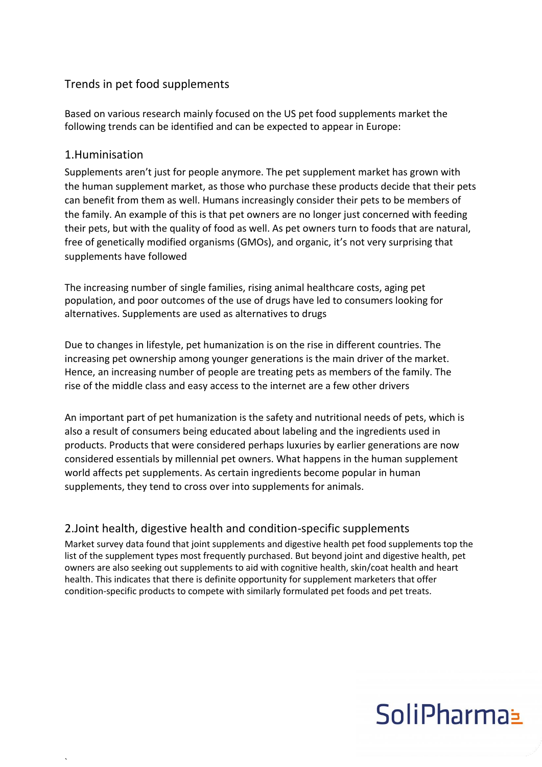#### Trends in pet food supplements

Based on various research mainly focused on the US pet food supplements market the following trends can be identified and can be expected to appear in Europe:

#### 1.Huminisation

`

Supplements aren't just for people anymore. The pet supplement market has grown with the human supplement market, as those who purchase these products decide that their pets can benefit from them as well. Humans increasingly consider their pets to be members of the family. An example of this is that pet owners are no longer just concerned with feeding their pets, but with the quality of food as well. As pet owners turn to foods that are natural, free of genetically modified organisms (GMOs), and organic, it's not very surprising that supplements have followed

The increasing number of single families, rising animal healthcare costs, aging pet population, and poor outcomes of the use of drugs have led to consumers looking for alternatives. Supplements are used as alternatives to drugs

Due to changes in lifestyle, pet humanization is on the rise in different countries. The increasing pet ownership among younger generations is the main driver of the market. Hence, an increasing number of people are treating pets as members of the family. The rise of the middle class and easy access to the internet are a few other drivers

An important part of pet humanization is the safety and nutritional needs of pets, which is also a result of consumers being educated about labeling and the ingredients used in products. Products that were considered perhaps luxuries by earlier generations are now considered essentials by millennial pet owners. What happens in the human supplement world affects pet supplements. As certain ingredients become popular in human supplements, they tend to cross over into supplements for animals.

#### 2.Joint health, digestive health and condition-specific supplements

Market survey data found that joint supplements and digestive health [pet food supplements t](http://www.petfoodindustry.com/articles/6413-l-carnitine-pet-food-supplement-may-benefit-working-dogs)op the list of the supplement types most frequently purchased. But beyond joint and digestive health, pet owners are also seeking out supplements to aid with cognitive health, skin/coat health and heart health. This indicates that there is definite opportunity for supplement marketers that offer condition-specific products to compete with similarly formulated pet foods and pet treats.

# SoliPharma